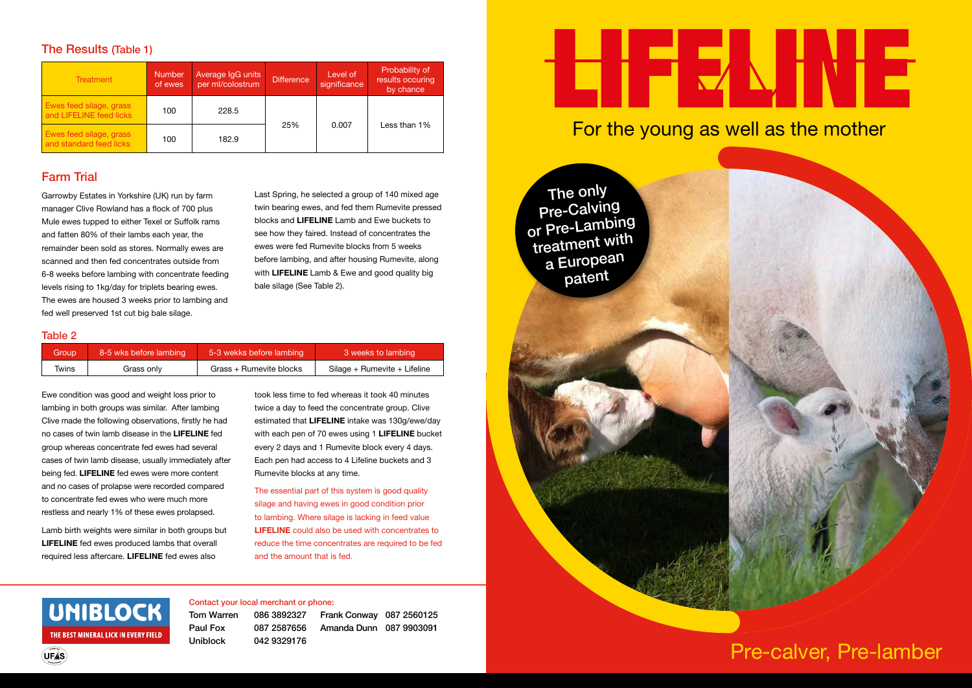| Treatment                                          | <b>Number</b><br>of ewes | Average IgG units<br>per ml/colostrum | Difference | Level of<br>significance | Probability of<br>results occuring<br>by chance |
|----------------------------------------------------|--------------------------|---------------------------------------|------------|--------------------------|-------------------------------------------------|
| Ewes feed silage, grass<br>and LIFELINE feed licks | 100                      | 228.5                                 |            | 0.007                    | Less than 1%                                    |
| Ewes feed silage, grass<br>and standard feed licks | 100                      | 182.9                                 | 25%        |                          |                                                 |

## The Results (Table 1)

# Farm Trial

Garrowby Estates in Yorkshire (UK) run by farm manager Clive Rowland has a flock of 700 plus Mule ewes tupped to either Texel or Suffolk rams and fatten 80% of their lambs each year, the remainder been sold as stores. Normally ewes are scanned and then fed concentrates outside from 6-8 weeks before lambing with concentrate feeding levels rising to 1kg/day for triplets bearing ewes. The ewes are housed 3 weeks prior to lambing and fed well preserved 1st cut big bale silage.

Last Spring, he selected a group of 140 mixed age twin bearing ewes, and fed them Rumevite pressed blocks and **LIFELINE** Lamb and Ewe buckets to see how they faired. Instead of concentrates the ewes were fed Rumevite blocks from 5 weeks before lambing, and after housing Rumevite, along with **LIFELINE** Lamb & Ewe and good quality big bale silage (See Table 2).

### Table 2

| Group | 8-5 wks before lambing | 5-3 wekks before lambing | 3 weeks to lambing           |
|-------|------------------------|--------------------------|------------------------------|
| Twins | Grass only             | Grass + Rumevite blocks  | Silage + Rumevite + Lifeline |

Ewe condition was good and weight loss prior to lambing in both groups was similar. After lambing Clive made the following observations, firstly he had no cases of twin lamb disease in the **LIFELINE** fed group whereas concentrate fed ewes had several cases of twin lamb disease, usually immediately after being fed. **LIFELINE** fed ewes were more content and no cases of prolapse were recorded compared to concentrate fed ewes who were much more restless and nearly 1% of these ewes prolapsed.

Lamb birth weights were similar in both groups but **LIFELINE** fed ewes produced lambs that overall required less aftercare. **LIFELINE** fed ewes also

took less time to fed whereas it took 40 minutes twice a day to feed the concentrate group. Clive estimated that **LIFELINE** intake was 130g/ewe/day with each pen of 70 ewes using 1 **LIFELINE** bucket every 2 days and 1 Rumevite block every 4 days. Each pen had access to 4 Lifeline buckets and 3 Rumevite blocks at any time.

The essential part of this system is good quality silage and having ewes in good condition prior to lambing. Where silage is lacking in feed value **LIFELINE** could also be used with concentrates to reduce the time concentrates are required to be fed and the amount that is fed.

# UNIBLOCK THE BEST MINERAL LICK IN EVERY FIELD

**UFÁS** 

### Contact your local merchant or phone:

Tom Warren 086 3892327 Paul Fox 087 2587656 Uniblock 042 9329176

Frank Conway 087 2560125 Amanda Dunn 087 9903091

# Pre-calver, Pre-lamber



# EHFIENINI